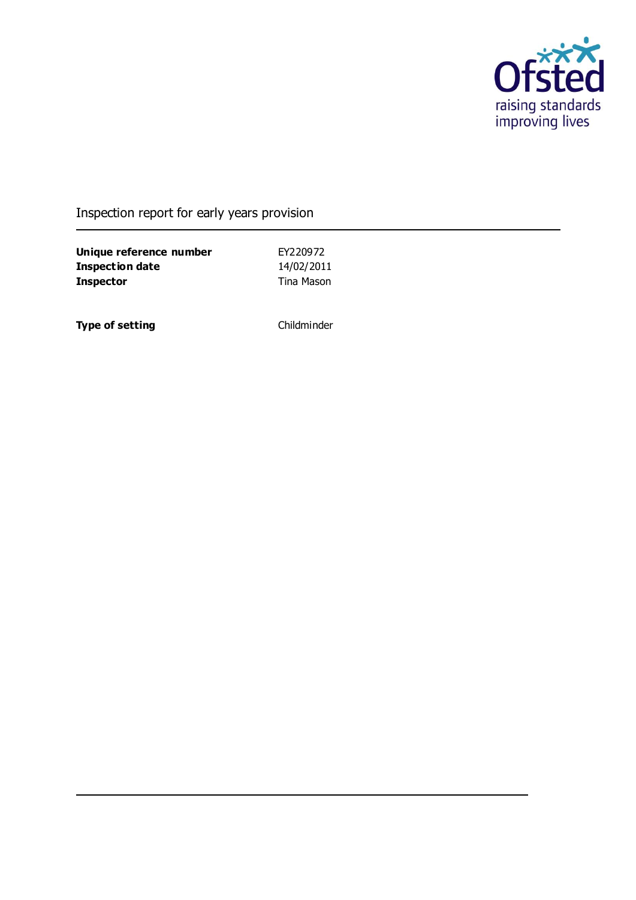

## Inspection report for early years provision

**Unique reference number** EY220972<br> **Inspection date** 14/02/2011 **Inspection date Inspector** Tina Mason

**Type of setting** Childminder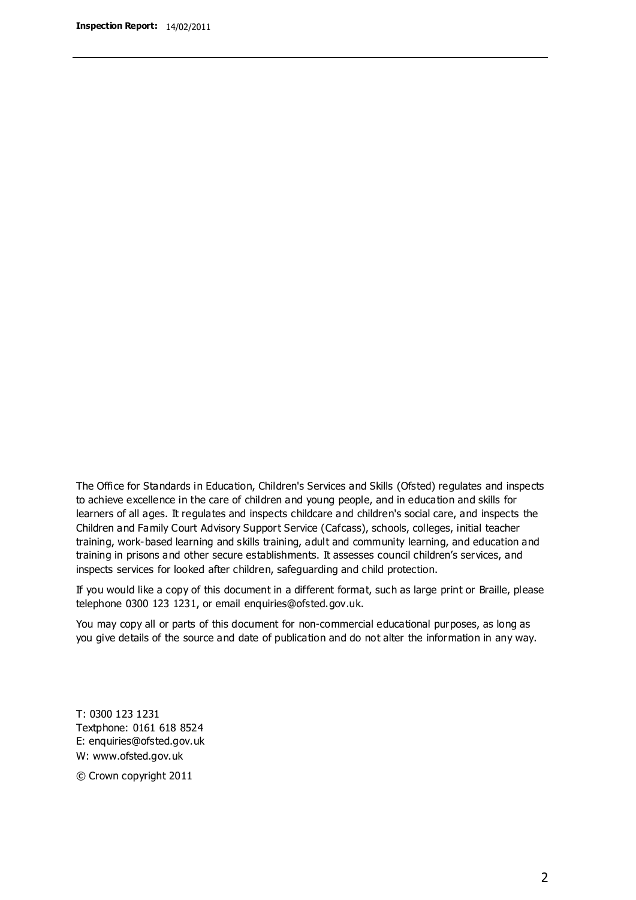The Office for Standards in Education, Children's Services and Skills (Ofsted) regulates and inspects to achieve excellence in the care of children and young people, and in education and skills for learners of all ages. It regulates and inspects childcare and children's social care, and inspects the Children and Family Court Advisory Support Service (Cafcass), schools, colleges, initial teacher training, work-based learning and skills training, adult and community learning, and education and training in prisons and other secure establishments. It assesses council children's services, and inspects services for looked after children, safeguarding and child protection.

If you would like a copy of this document in a different format, such as large print or Braille, please telephone 0300 123 1231, or email enquiries@ofsted.gov.uk.

You may copy all or parts of this document for non-commercial educational purposes, as long as you give details of the source and date of publication and do not alter the information in any way.

T: 0300 123 1231 Textphone: 0161 618 8524 E: enquiries@ofsted.gov.uk W: [www.ofsted.gov.uk](http://www.ofsted.gov.uk/)

© Crown copyright 2011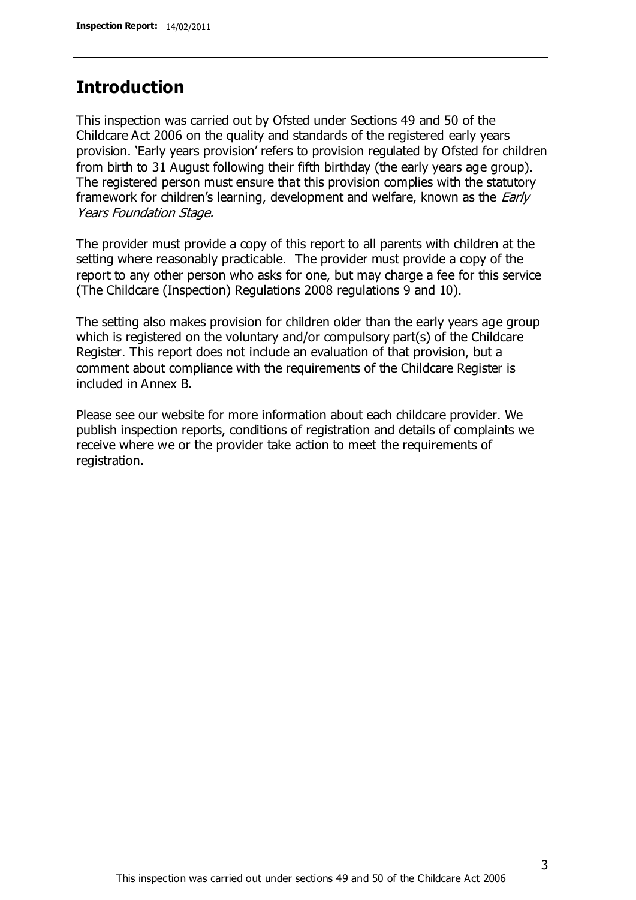### **Introduction**

This inspection was carried out by Ofsted under Sections 49 and 50 of the Childcare Act 2006 on the quality and standards of the registered early years provision. 'Early years provision' refers to provision regulated by Ofsted for children from birth to 31 August following their fifth birthday (the early years age group). The registered person must ensure that this provision complies with the statutory framework for children's learning, development and welfare, known as the *Early* Years Foundation Stage.

The provider must provide a copy of this report to all parents with children at the setting where reasonably practicable. The provider must provide a copy of the report to any other person who asks for one, but may charge a fee for this service (The Childcare (Inspection) Regulations 2008 regulations 9 and 10).

The setting also makes provision for children older than the early years age group which is registered on the voluntary and/or compulsory part(s) of the Childcare Register. This report does not include an evaluation of that provision, but a comment about compliance with the requirements of the Childcare Register is included in Annex B.

Please see our website for more information about each childcare provider. We publish inspection reports, conditions of registration and details of complaints we receive where we or the provider take action to meet the requirements of registration.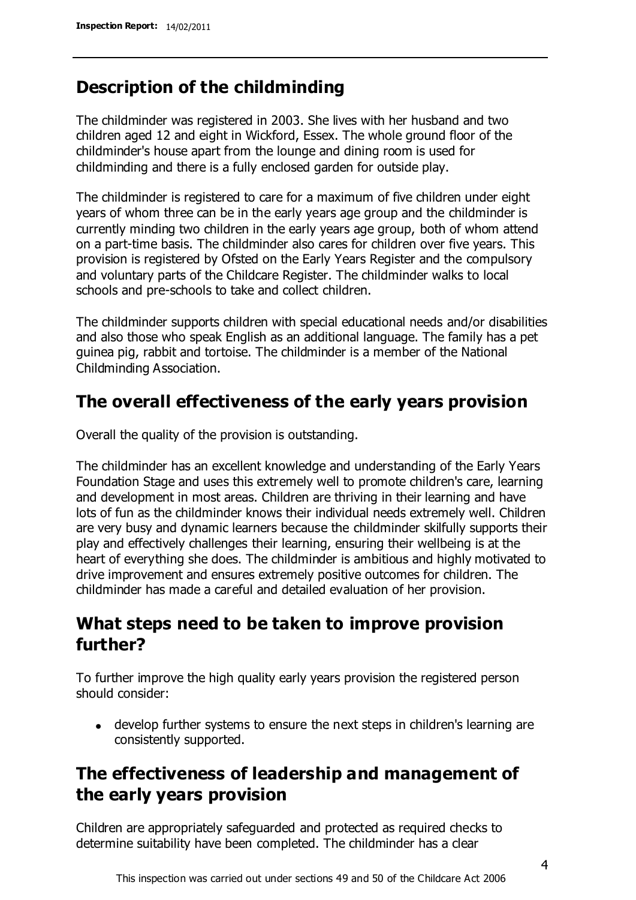## **Description of the childminding**

The childminder was registered in 2003. She lives with her husband and two children aged 12 and eight in Wickford, Essex. The whole ground floor of the childminder's house apart from the lounge and dining room is used for childminding and there is a fully enclosed garden for outside play.

The childminder is registered to care for a maximum of five children under eight years of whom three can be in the early years age group and the childminder is currently minding two children in the early years age group, both of whom attend on a part-time basis. The childminder also cares for children over five years. This provision is registered by Ofsted on the Early Years Register and the compulsory and voluntary parts of the Childcare Register. The childminder walks to local schools and pre-schools to take and collect children.

The childminder supports children with special educational needs and/or disabilities and also those who speak English as an additional language. The family has a pet guinea pig, rabbit and tortoise. The childminder is a member of the National Childminding Association.

## **The overall effectiveness of the early years provision**

Overall the quality of the provision is outstanding.

The childminder has an excellent knowledge and understanding of the Early Years Foundation Stage and uses this extremely well to promote children's care, learning and development in most areas. Children are thriving in their learning and have lots of fun as the childminder knows their individual needs extremely well. Children are very busy and dynamic learners because the childminder skilfully supports their play and effectively challenges their learning, ensuring their wellbeing is at the heart of everything she does. The childminder is ambitious and highly motivated to drive improvement and ensures extremely positive outcomes for children. The childminder has made a careful and detailed evaluation of her provision.

## **What steps need to be taken to improve provision further?**

To further improve the high quality early years provision the registered person should consider:

develop further systems to ensure the next steps in children's learning are consistently supported.

## **The effectiveness of leadership and management of the early years provision**

Children are appropriately safeguarded and protected as required checks to determine suitability have been completed. The childminder has a clear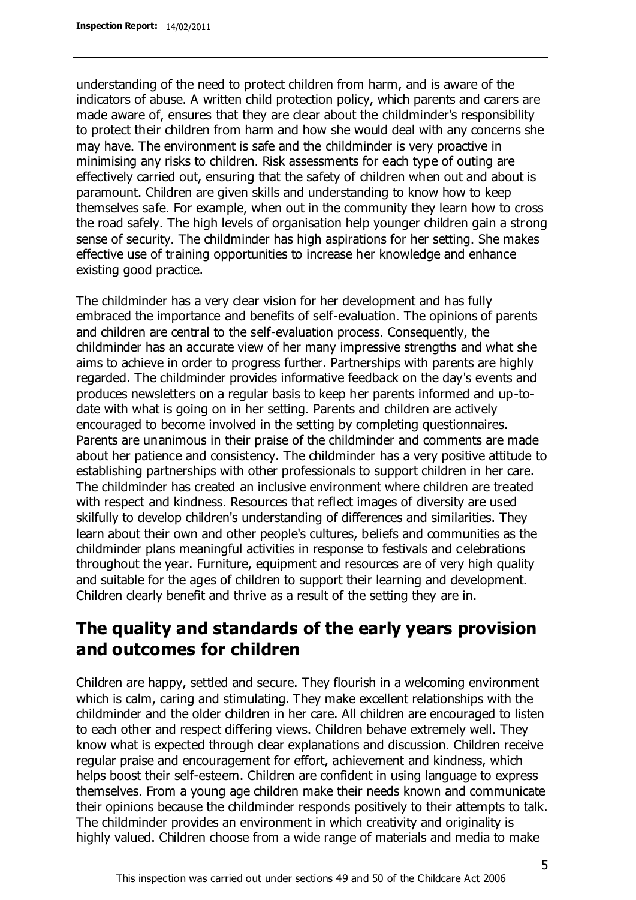understanding of the need to protect children from harm, and is aware of the indicators of abuse. A written child protection policy, which parents and carers are made aware of, ensures that they are clear about the childminder's responsibility to protect their children from harm and how she would deal with any concerns she may have. The environment is safe and the childminder is very proactive in minimising any risks to children. Risk assessments for each type of outing are effectively carried out, ensuring that the safety of children when out and about is paramount. Children are given skills and understanding to know how to keep themselves safe. For example, when out in the community they learn how to cross the road safely. The high levels of organisation help younger children gain a strong sense of security. The childminder has high aspirations for her setting. She makes effective use of training opportunities to increase her knowledge and enhance existing good practice.

The childminder has a very clear vision for her development and has fully embraced the importance and benefits of self-evaluation. The opinions of parents and children are central to the self-evaluation process. Consequently, the childminder has an accurate view of her many impressive strengths and what she aims to achieve in order to progress further. Partnerships with parents are highly regarded. The childminder provides informative feedback on the day's events and produces newsletters on a regular basis to keep her parents informed and up-todate with what is going on in her setting. Parents and children are actively encouraged to become involved in the setting by completing questionnaires. Parents are unanimous in their praise of the childminder and comments are made about her patience and consistency. The childminder has a very positive attitude to establishing partnerships with other professionals to support children in her care. The childminder has created an inclusive environment where children are treated with respect and kindness. Resources that reflect images of diversity are used skilfully to develop children's understanding of differences and similarities. They learn about their own and other people's cultures, beliefs and communities as the childminder plans meaningful activities in response to festivals and celebrations throughout the year. Furniture, equipment and resources are of very high quality and suitable for the ages of children to support their learning and development. Children clearly benefit and thrive as a result of the setting they are in.

## **The quality and standards of the early years provision and outcomes for children**

Children are happy, settled and secure. They flourish in a welcoming environment which is calm, caring and stimulating. They make excellent relationships with the childminder and the older children in her care. All children are encouraged to listen to each other and respect differing views. Children behave extremely well. They know what is expected through clear explanations and discussion. Children receive regular praise and encouragement for effort, achievement and kindness, which helps boost their self-esteem. Children are confident in using language to express themselves. From a young age children make their needs known and communicate their opinions because the childminder responds positively to their attempts to talk. The childminder provides an environment in which creativity and originality is highly valued. Children choose from a wide range of materials and media to make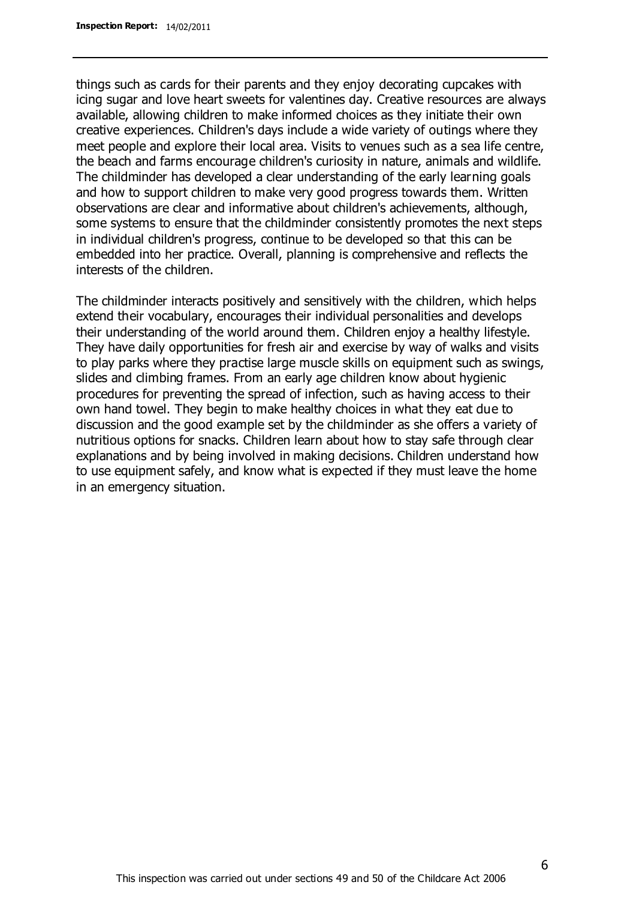things such as cards for their parents and they enjoy decorating cupcakes with icing sugar and love heart sweets for valentines day. Creative resources are always available, allowing children to make informed choices as they initiate their own creative experiences. Children's days include a wide variety of outings where they meet people and explore their local area. Visits to venues such as a sea life centre, the beach and farms encourage children's curiosity in nature, animals and wildlife. The childminder has developed a clear understanding of the early learning goals and how to support children to make very good progress towards them. Written observations are clear and informative about children's achievements, although, some systems to ensure that the childminder consistently promotes the next steps in individual children's progress, continue to be developed so that this can be embedded into her practice. Overall, planning is comprehensive and reflects the interests of the children.

The childminder interacts positively and sensitively with the children, which helps extend their vocabulary, encourages their individual personalities and develops their understanding of the world around them. Children enjoy a healthy lifestyle. They have daily opportunities for fresh air and exercise by way of walks and visits to play parks where they practise large muscle skills on equipment such as swings, slides and climbing frames. From an early age children know about hygienic procedures for preventing the spread of infection, such as having access to their own hand towel. They begin to make healthy choices in what they eat due to discussion and the good example set by the childminder as she offers a variety of nutritious options for snacks. Children learn about how to stay safe through clear explanations and by being involved in making decisions. Children understand how to use equipment safely, and know what is expected if they must leave the home in an emergency situation.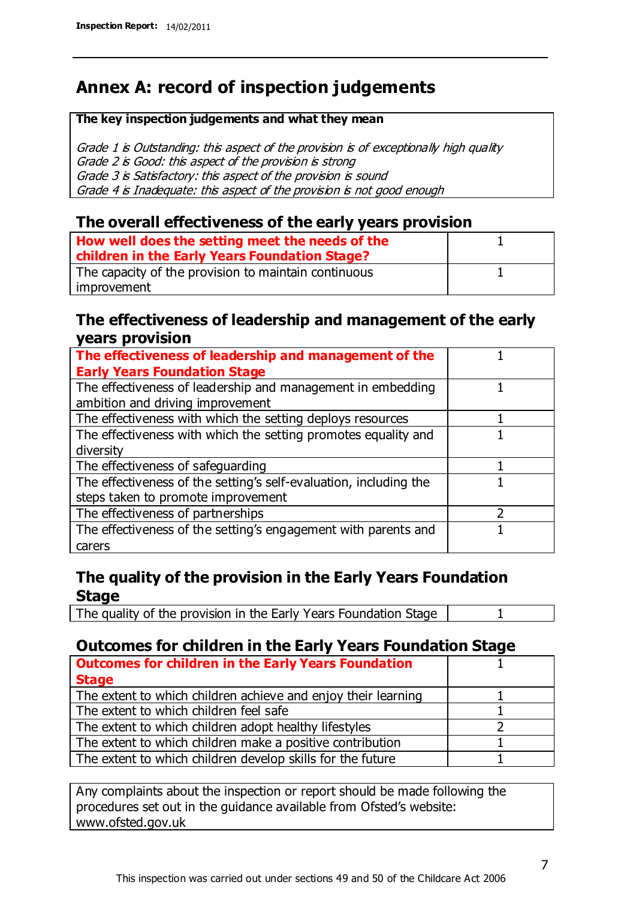## **Annex A: record of inspection judgements**

#### **The key inspection judgements and what they mean**

Grade 1 is Outstanding: this aspect of the provision is of exceptionally high quality Grade 2 is Good: this aspect of the provision is strong Grade 3 is Satisfactory: this aspect of the provision is sound Grade 4 is Inadequate: this aspect of the provision is not good enough

#### **The overall effectiveness of the early years provision**

| How well does the setting meet the needs of the<br>children in the Early Years Foundation Stage? |  |
|--------------------------------------------------------------------------------------------------|--|
| The capacity of the provision to maintain continuous                                             |  |
| improvement                                                                                      |  |

#### **The effectiveness of leadership and management of the early years provision**

| The effectiveness of leadership and management of the             |  |
|-------------------------------------------------------------------|--|
| <b>Early Years Foundation Stage</b>                               |  |
| The effectiveness of leadership and management in embedding       |  |
| ambition and driving improvement                                  |  |
| The effectiveness with which the setting deploys resources        |  |
| The effectiveness with which the setting promotes equality and    |  |
| diversity                                                         |  |
| The effectiveness of safeguarding                                 |  |
| The effectiveness of the setting's self-evaluation, including the |  |
| steps taken to promote improvement                                |  |
| The effectiveness of partnerships                                 |  |
| The effectiveness of the setting's engagement with parents and    |  |
| carers                                                            |  |

### **The quality of the provision in the Early Years Foundation Stage**

The quality of the provision in the Early Years Foundation Stage | 1

### **Outcomes for children in the Early Years Foundation Stage**

| <b>Outcomes for children in the Early Years Foundation</b>    |  |
|---------------------------------------------------------------|--|
| <b>Stage</b>                                                  |  |
| The extent to which children achieve and enjoy their learning |  |
| The extent to which children feel safe                        |  |
| The extent to which children adopt healthy lifestyles         |  |
| The extent to which children make a positive contribution     |  |
| The extent to which children develop skills for the future    |  |

Any complaints about the inspection or report should be made following the procedures set out in the guidance available from Ofsted's website: www.ofsted.gov.uk